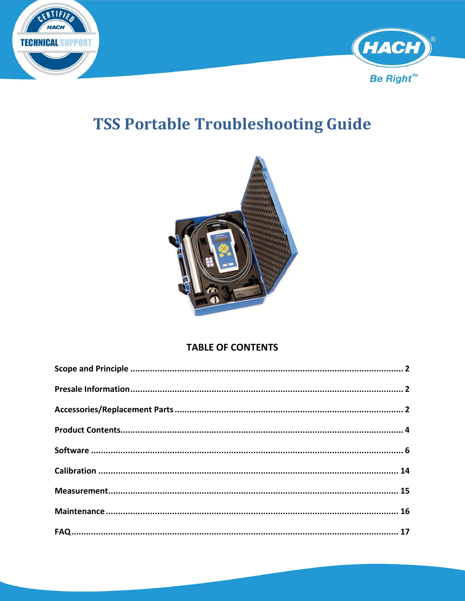



# **TSS Portable Troubleshooting Guide**



### **TABLE OF CONTENTS**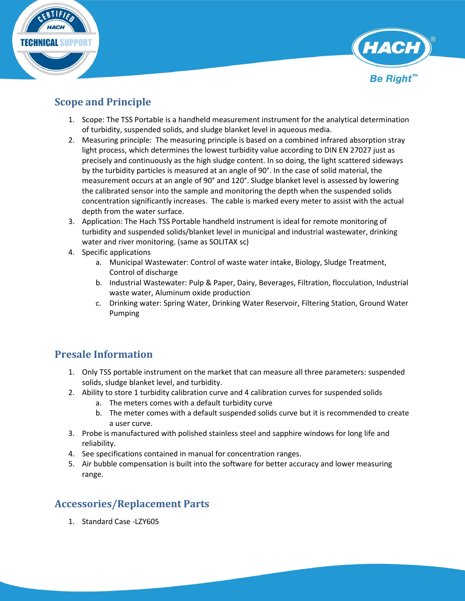



### <span id="page-1-0"></span>**Scope and Principle**

- 1. Scope: The TSS Portable is a handheld measurement instrument for the analytical determination of turbidity, suspended solids, and sludge blanket level in aqueous media.
- 2. Measuring principle: The measuring principle is based on a combined infrared absorption stray light process, which determines the lowest turbidity value according to DIN EN 27027 just as precisely and continuously as the high sludge content. In so doing, the light scattered sideways by the turbidity particles is measured at an angle of 90°. In the case of solid material, the measurement occurs at an angle of 90° and 120°. Sludge blanket level is assessed by lowering the calibrated sensor into the sample and monitoring the depth when the suspended solids concentration significantly increases. The cable is marked every meter to assist with the actual depth from the water surface.
- 3. Application: The Hach TSS Portable handheld instrument is ideal for remote monitoring of turbidity and suspended solids/blanket level in municipal and industrial wastewater, drinking water and river monitoring. (same as SOLITAX sc)
- 4. Specific applications
	- a. Municipal Wastewater: Control of waste water intake, Biology, Sludge Treatment, Control of discharge
	- b. Industrial Wastewater: Pulp & Paper, Dairy, Beverages, Filtration, flocculation, Industrial waste water, Aluminum oxide production
	- c. Drinking water: Spring Water, Drinking Water Reservoir, Filtering Station, Ground Water Pumping

### <span id="page-1-1"></span>**Presale Information**

- 1. Only TSS portable instrument on the market that can measure all three parameters: suspended solids, sludge blanket level, and turbidity.
- 2. Ability to store 1 turbidity calibration curve and 4 calibration curves for suspended solids
	- a. The meters comes with a default turbidity curve
	- b. The meter comes with a default suspended solids curve but it is recommended to create a user curve.
- 3. Probe is manufactured with polished stainless steel and sapphire windows for long life and reliability.
- 4. See specifications contained in manual for concentration ranges.
- 5. Air bubble compensation is built into the software for better accuracy and lower measuring range.

## <span id="page-1-2"></span>**Accessories/Replacement Parts**

1. Standard Case -LZY605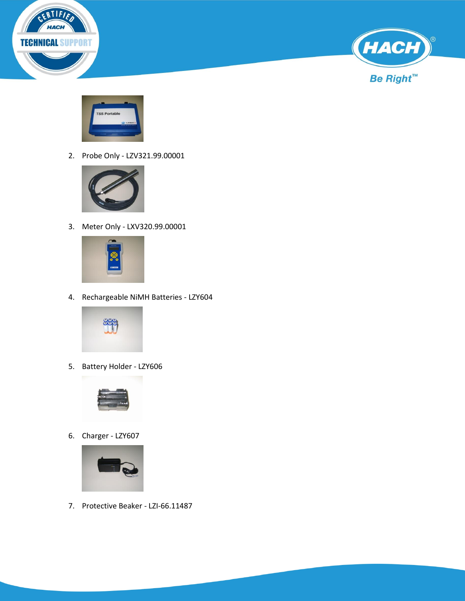





2. Probe Only - LZV321.99.00001



3. Meter Only - LXV320.99.00001



4. Rechargeable NiMH Batteries - LZY604



5. Battery Holder - LZY606



6. Charger - LZY607



7. Protective Beaker - LZI-66.11487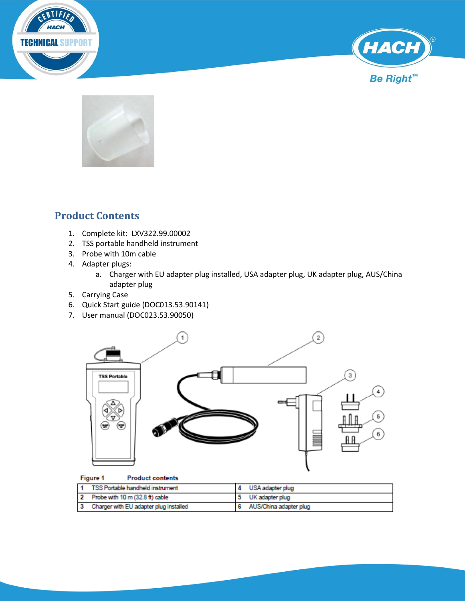





## <span id="page-3-0"></span>**Product Contents**

- 1. Complete kit: LXV322.99.00002
- 2. TSS portable handheld instrument
- 3. Probe with 10m cable
- 4. Adapter plugs:
	- a. Charger with EU adapter plug installed, USA adapter plug, UK adapter plug, AUS/China adapter plug
- 5. Carrying Case
- 6. Quick Start guide (DOC013.53.90141)
- 7. User manual (DOC023.53.90050)



#### Figure 1 **Product contents**

| 1 TSS Portable handheld instrument       | USA adapter plug         |
|------------------------------------------|--------------------------|
| 2 Probe with 10 m (32.8 ft) cable        | UK adapter plug          |
| 3 Charger with EU adapter plug installed | 6 AUS/China adapter plug |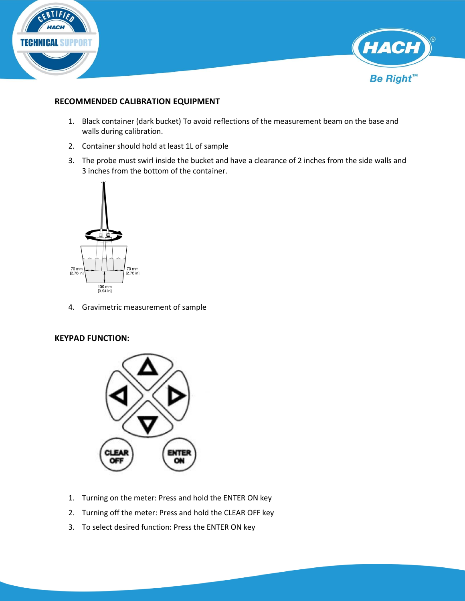



#### **RECOMMENDED CALIBRATION EQUIPMENT**

- 1. Black container (dark bucket) To avoid reflections of the measurement beam on the base and walls during calibration.
- 2. Container should hold at least 1L of sample
- 3. The probe must swirl inside the bucket and have a clearance of 2 inches from the side walls and 3 inches from the bottom of the container.



4. Gravimetric measurement of sample

#### **KEYPAD FUNCTION:**



- 1. Turning on the meter: Press and hold the ENTER ON key
- 2. Turning off the meter: Press and hold the CLEAR OFF key
- 3. To select desired function: Press the ENTER ON key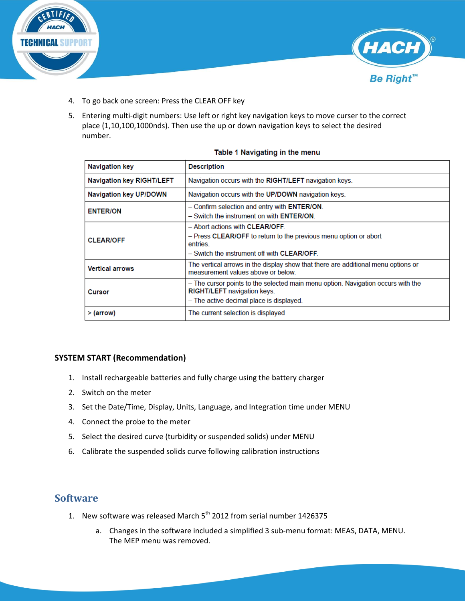



- 4. To go back one screen: Press the CLEAR OFF key
- 5. Entering multi-digit numbers: Use left or right key navigation keys to move curser to the correct place (1,10,100,1000nds). Then use the up or down navigation keys to select the desired number.

| <b>Navigation key</b>            | <b>Description</b>                                                                                                                                                 |
|----------------------------------|--------------------------------------------------------------------------------------------------------------------------------------------------------------------|
| <b>Navigation key RIGHT/LEFT</b> | Navigation occurs with the RIGHT/LEFT navigation keys.                                                                                                             |
| <b>Navigation key UP/DOWN</b>    | Navigation occurs with the UP/DOWN navigation keys.                                                                                                                |
| <b>ENTER/ON</b>                  | - Confirm selection and entry with ENTER/ON.<br>- Switch the instrument on with <b>ENTER/ON</b>                                                                    |
| <b>CLEAR/OFF</b>                 | - Abort actions with CLEAR/OFF.<br>- Press CLEAR/OFF to return to the previous menu option or abort<br>entries.<br>- Switch the instrument off with CLEAR/OFF      |
| <b>Vertical arrows</b>           | The vertical arrows in the display show that there are additional menu options or<br>measurement values above or below                                             |
| Cursor                           | - The cursor points to the selected main menu option. Navigation occurs with the<br><b>RIGHT/LEFT</b> navigation keys.<br>- The active decimal place is displayed. |
| > (arrow)                        | The current selection is displayed                                                                                                                                 |

#### Table 1 Navigating in the menu

#### **SYSTEM START (Recommendation)**

- 1. Install rechargeable batteries and fully charge using the battery charger
- 2. Switch on the meter
- 3. Set the Date/Time, Display, Units, Language, and Integration time under MENU
- 4. Connect the probe to the meter
- 5. Select the desired curve (turbidity or suspended solids) under MENU
- 6. Calibrate the suspended solids curve following calibration instructions

### <span id="page-5-0"></span>**Software**

- 1. New software was released March  $5<sup>th</sup>$  2012 from serial number 1426375
	- a. Changes in the software included a simplified 3 sub-menu format: MEAS, DATA, MENU. The MEP menu was removed.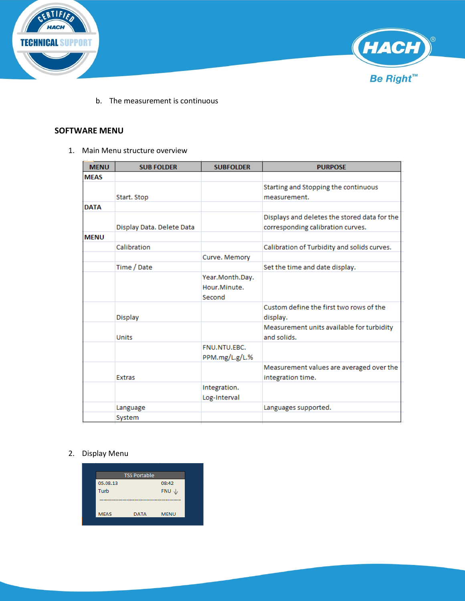



b. The measurement is continuous

#### **SOFTWARE MENU**

1. Main Menu structure overview

| <b>MENU</b> | <b>SUB FOLDER</b>         | <b>SUBFOLDER</b>                          | <b>PURPOSE</b>                                                                    |
|-------------|---------------------------|-------------------------------------------|-----------------------------------------------------------------------------------|
| <b>MEAS</b> |                           |                                           |                                                                                   |
|             | Start. Stop               |                                           | Starting and Stopping the continuous<br>measurement.                              |
| <b>DATA</b> |                           |                                           |                                                                                   |
|             | Display Data. Delete Data |                                           | Displays and deletes the stored data for the<br>corresponding calibration curves. |
| <b>MENU</b> |                           |                                           |                                                                                   |
|             | Calibration               |                                           | Calibration of Turbidity and solids curves.                                       |
|             |                           | Curve. Memory                             |                                                                                   |
|             | Time / Date               |                                           | Set the time and date display.                                                    |
|             |                           | Year.Month.Day.<br>Hour.Minute.<br>Second |                                                                                   |
|             | <b>Display</b>            |                                           | Custom define the first two rows of the<br>display.                               |
|             | <b>Units</b>              |                                           | Measurement units available for turbidity<br>and solids.                          |
|             |                           | FNU.NTU.EBC.<br>PPM.mg/L.g/L.%            |                                                                                   |
|             | <b>Extras</b>             |                                           | Measurement values are averaged over the<br>integration time.                     |
|             |                           | Integration.<br>Log-Interval              |                                                                                   |
|             | Language                  |                                           | Languages supported.                                                              |
|             | System                    |                                           |                                                                                   |

#### 2. Display Menu

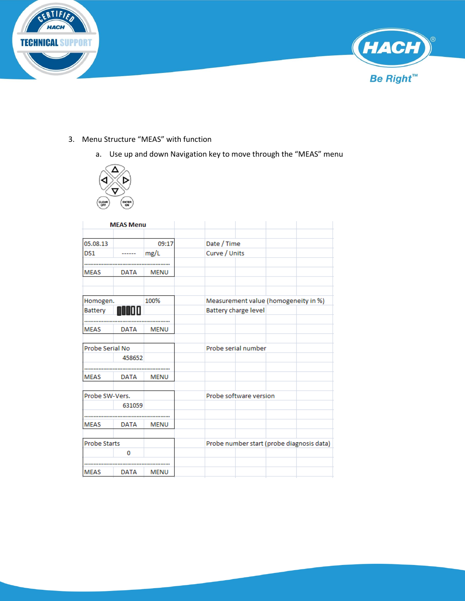



- 3. Menu Structure "MEAS" with function
	- a. Use up and down Navigation key to move through the "MEAS" menu



|                     | <b>MEAS Menu</b> |             |                                           |  |
|---------------------|------------------|-------------|-------------------------------------------|--|
|                     |                  |             |                                           |  |
| 05.08.13            |                  | 09:17       | Date / Time                               |  |
| DS1                 |                  | mg/L        | Curve / Units                             |  |
|                     |                  |             |                                           |  |
| <b>MEAS</b>         | <b>DATA</b>      | <b>MENU</b> |                                           |  |
|                     |                  |             |                                           |  |
| Homogen.            |                  | 100%        | Measurement value (homogeneity in %)      |  |
| <b>Battery</b>      |                  |             | <b>Battery charge level</b>               |  |
|                     |                  |             |                                           |  |
| <b>MEAS</b>         | <b>DATA</b>      | <b>MENU</b> |                                           |  |
|                     |                  |             |                                           |  |
| Probe Serial No     |                  |             | Probe serial number                       |  |
|                     | 458652           |             |                                           |  |
|                     |                  |             |                                           |  |
| <b>MEAS</b>         | <b>DATA</b>      | <b>MENU</b> |                                           |  |
|                     |                  |             |                                           |  |
| Probe SW-Vers.      |                  |             | Probe software version                    |  |
|                     | 631059           |             |                                           |  |
|                     |                  |             |                                           |  |
| <b>MEAS</b>         | <b>DATA</b>      | <b>MENU</b> |                                           |  |
| <b>Probe Starts</b> |                  |             | Probe number start (probe diagnosis data) |  |
|                     |                  |             |                                           |  |
|                     | 0                |             |                                           |  |
|                     |                  |             |                                           |  |
| <b>MEAS</b>         | <b>DATA</b>      | <b>MENU</b> |                                           |  |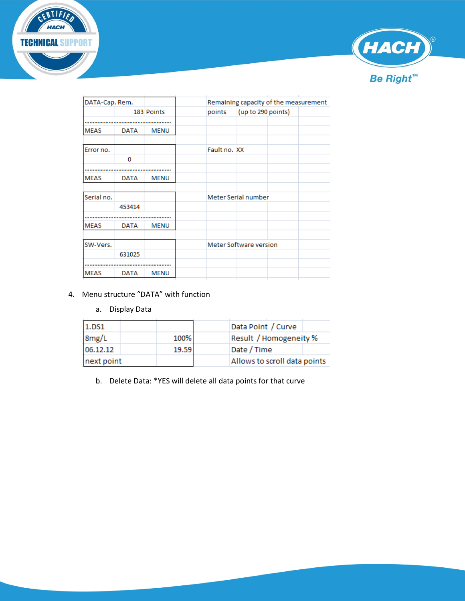



| DATA-Cap. Rem. |             |             | Remaining capacity of the measurement |
|----------------|-------------|-------------|---------------------------------------|
|                |             | 183 Points  | (up to 290 points)<br>points          |
|                |             |             |                                       |
| <b>MEAS</b>    | <b>DATA</b> | <b>MENU</b> |                                       |
| Error no.      |             |             | Fault no. XX                          |
|                | 0           |             |                                       |
|                |             |             |                                       |
| <b>MEAS</b>    | <b>DATA</b> | <b>MENU</b> |                                       |
| Serial no.     |             |             |                                       |
|                |             |             | Meter Serial number                   |
|                | 453414      |             |                                       |
|                |             |             |                                       |
| <b>MEAS</b>    | <b>DATA</b> | <b>MENU</b> |                                       |
|                |             |             |                                       |
| SW-Vers.       |             |             | Meter Software version                |
|                | 631025      |             |                                       |
|                |             |             |                                       |
| <b>MEAS</b>    | <b>DATA</b> | MENU        |                                       |
|                |             |             |                                       |

#### 4. Menu structure "DATA" with function

a. Display Data

| 1.DS1                    |       | Data Point / Curve           |
|--------------------------|-------|------------------------------|
| $\frac{8mg/L}{06.12.12}$ | 100%  | Result / Homogeneity %       |
|                          | 19.59 | Date / Time                  |
| next point               |       | Allows to scroll data points |

b. Delete Data: \*YES will delete all data points for that curve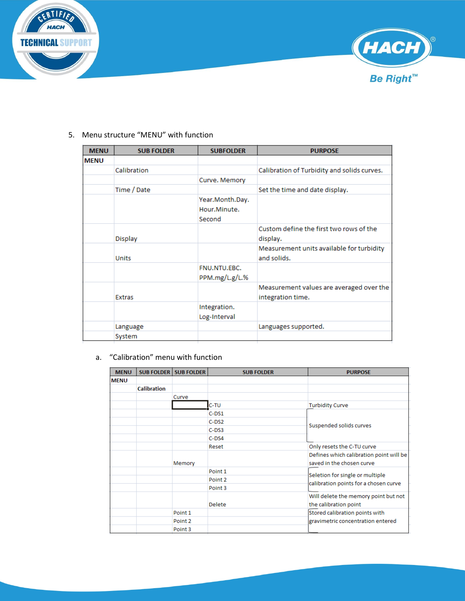



#### 5. Menu structure "MENU" with function

| <b>MENU</b> | <b>SUB FOLDER</b> | <b>SUBFOLDER</b>                          | <b>PURPOSE</b>                                                |
|-------------|-------------------|-------------------------------------------|---------------------------------------------------------------|
| <b>MENU</b> |                   |                                           |                                                               |
|             | Calibration       |                                           | Calibration of Turbidity and solids curves.                   |
|             |                   | Curve. Memory                             |                                                               |
|             | Time / Date       |                                           | Set the time and date display.                                |
|             |                   | Year.Month.Day.<br>Hour.Minute.<br>Second |                                                               |
|             | Display           |                                           | Custom define the first two rows of the<br>display.           |
|             | <b>Units</b>      |                                           | Measurement units available for turbidity<br>and solids.      |
|             |                   | FNU.NTU.EBC.<br>PPM.mg/L.g/L.%            |                                                               |
|             | <b>Extras</b>     |                                           | Measurement values are averaged over the<br>integration time. |
|             |                   | Integration.<br>Log-Interval              |                                                               |
|             | Language          |                                           | Languages supported.                                          |
|             | System            |                                           |                                                               |

#### a. "Calibration" menu with function

| <b>MENU</b> |                    | <b>SUB FOLDER   SUB FOLDER</b> | <b>SUB FOLDER</b>  | <b>PURPOSE</b>                                                       |
|-------------|--------------------|--------------------------------|--------------------|----------------------------------------------------------------------|
| <b>MENU</b> |                    |                                |                    |                                                                      |
|             | <b>Calibration</b> |                                |                    |                                                                      |
|             |                    | Curve                          |                    |                                                                      |
|             |                    |                                | C-TU               | <b>Turbidity Curve</b>                                               |
|             |                    |                                | $C-DS1$            |                                                                      |
|             |                    |                                | $C-DS2$            | Suspended solids curves                                              |
|             |                    |                                | $C$ -DS3           |                                                                      |
|             |                    |                                | $C$ -DS4           |                                                                      |
|             |                    |                                | Reset              | Only resets the C-TU curve                                           |
|             |                    | Memory                         |                    | Defines which calibration point will be<br>saved in the chosen curve |
|             |                    |                                | Point 1            |                                                                      |
|             |                    |                                | Point 2            | Seletion for single or multiple                                      |
|             |                    |                                | Point <sub>3</sub> | calibration points for a chosen curve                                |
|             |                    |                                |                    | Will delete the memory point but not                                 |
|             |                    |                                | <b>Delete</b>      | the calibration point                                                |
|             |                    | Point 1                        |                    | Stored calibration points with                                       |
|             |                    | Point 2                        |                    | gravimetric concentration entered                                    |
|             |                    | Point 3                        |                    |                                                                      |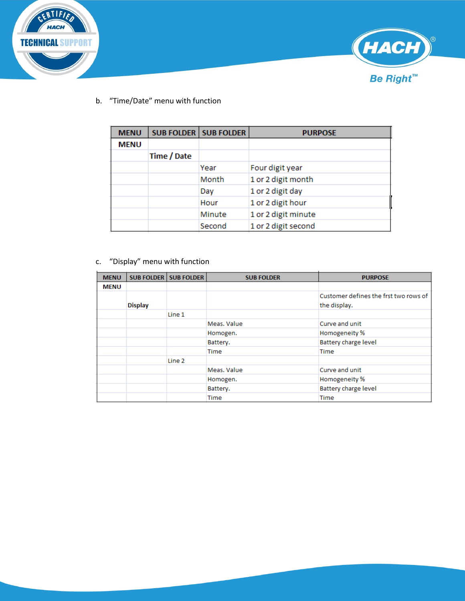



b. "Time/Date" menu with function

| <b>MENU</b> |             | <b>SUB FOLDER   SUB FOLDER</b> | <b>PURPOSE</b>      |
|-------------|-------------|--------------------------------|---------------------|
| <b>MENU</b> |             |                                |                     |
|             | Time / Date |                                |                     |
|             |             | Year                           | Four digit year     |
|             |             | Month                          | 1 or 2 digit month  |
|             |             | Day                            | 1 or 2 digit day    |
|             |             | Hour                           | 1 or 2 digit hour   |
|             |             | Minute                         | 1 or 2 digit minute |
|             |             | Second                         | 1 or 2 digit second |

#### c. "Display" menu with function

| <b>MENU</b> |                | <b>SUB FOLDER   SUB FOLDER</b> | <b>SUB FOLDER</b> | <b>PURPOSE</b>                        |
|-------------|----------------|--------------------------------|-------------------|---------------------------------------|
| <b>MENU</b> |                |                                |                   |                                       |
|             |                |                                |                   | Customer defines the frst two rows of |
|             | <b>Display</b> |                                |                   | the display.                          |
|             |                | Line 1                         |                   |                                       |
|             |                |                                | Meas, Value       | Curve and unit                        |
|             |                |                                | Homogen.          | Homogeneity %                         |
|             |                |                                | Battery.          | <b>Battery charge level</b>           |
|             |                |                                | Time              | Time                                  |
|             |                | Line 2                         |                   |                                       |
|             |                |                                | Meas, Value       | Curve and unit                        |
|             |                |                                | Homogen.          | Homogeneity %                         |
|             |                |                                | Battery.          | Battery charge level                  |
|             |                |                                | <b>Time</b>       | Time                                  |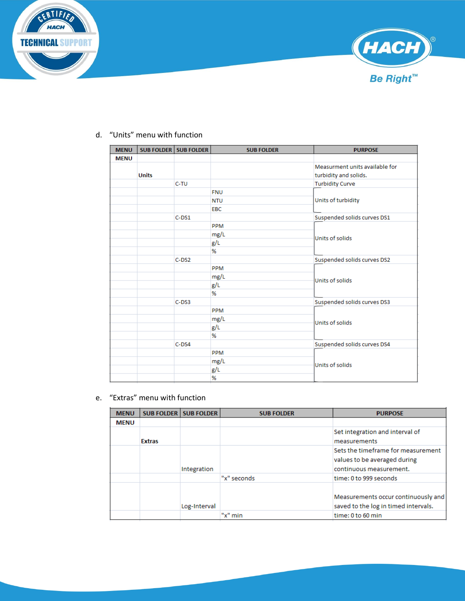



#### d. "Units" menu with function

| <b>MENU</b> |              | <b>SUB FOLDER SUB FOLDER</b> | <b>SUB FOLDER</b> | <b>PURPOSE</b>                 |  |
|-------------|--------------|------------------------------|-------------------|--------------------------------|--|
| <b>MENU</b> |              |                              |                   |                                |  |
|             |              |                              |                   | Measurment units available for |  |
|             | <b>Units</b> |                              |                   | turbidity and solids.          |  |
|             |              | C-TU                         |                   | <b>Turbidity Curve</b>         |  |
|             |              |                              | <b>FNU</b>        |                                |  |
|             |              |                              | <b>NTU</b>        | Units of turbidity             |  |
|             |              |                              | <b>EBC</b>        |                                |  |
|             |              | $C-DS1$                      |                   | Suspended solids curves DS1    |  |
|             |              |                              | PPM               |                                |  |
|             |              |                              | mg/L              | Units of solids                |  |
|             |              |                              | g/L               |                                |  |
|             |              |                              | %                 |                                |  |
|             |              | $C-DS2$                      |                   | Suspended solids curves DS2    |  |
|             |              |                              | PPM               |                                |  |
|             |              |                              | mg/L              | Units of solids                |  |
|             |              |                              | g/L               |                                |  |
|             |              |                              | %                 |                                |  |
|             |              | $C$ -DS3                     |                   | Suspended solids curves DS3    |  |
|             |              |                              | PPM               |                                |  |
|             |              |                              | mg/L              | Units of solids                |  |
|             |              |                              | g/L               |                                |  |
|             |              |                              | ℅                 |                                |  |
|             |              | $C$ -DS4                     |                   | Suspended solids curves DS4    |  |
|             |              |                              | PPM               | Units of solids                |  |
|             |              |                              | mg/L              |                                |  |
|             |              |                              | g/L               |                                |  |
|             |              |                              | %                 |                                |  |

#### e. "Extras" menu with function

| <b>MENU</b> |               | <b>SUB FOLDER   SUB FOLDER</b> | <b>SUB FOLDER</b> | <b>PURPOSE</b>                                                                                |
|-------------|---------------|--------------------------------|-------------------|-----------------------------------------------------------------------------------------------|
| <b>MENU</b> |               |                                |                   |                                                                                               |
|             | <b>Extras</b> |                                |                   | Set integration and interval of<br>measurements                                               |
|             |               | Integration                    |                   | Sets the timeframe for measurement<br>values to be averaged during<br>continuous measurement. |
|             |               |                                | "x" seconds       | time: 0 to 999 seconds                                                                        |
|             |               | Log-Interval                   |                   | Measurements occur continuously and<br>saved to the log in timed intervals.                   |
|             |               |                                | "x" min           | time: 0 to 60 min                                                                             |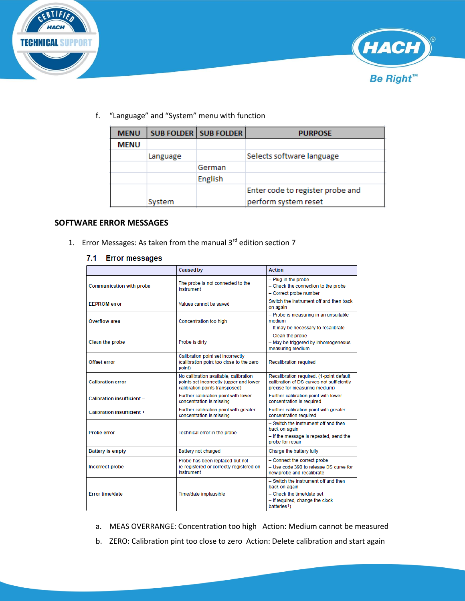



f. "Language" and "System" menu with function

| <b>MENU</b> |          | <b>SUB FOLDER   SUB FOLDER</b> | <b>PURPOSE</b>                   |
|-------------|----------|--------------------------------|----------------------------------|
| <b>MENU</b> |          |                                |                                  |
|             | Language |                                | Selects software language        |
|             |          | German                         |                                  |
|             |          | English                        |                                  |
|             |          |                                | Enter code to register probe and |
|             | System   |                                | perform system reset             |

#### **SOFTWARE ERROR MESSAGES**

1. Error Messages: As taken from the manual  $3<sup>rd</sup>$  edition section 7

#### 7.1 Error messages

|                                   | <b>Caused by</b>                                                                                                   | <b>Action</b>                                                                                                                                     |
|-----------------------------------|--------------------------------------------------------------------------------------------------------------------|---------------------------------------------------------------------------------------------------------------------------------------------------|
| <b>Communication with probe</b>   | The probe is not connected to the<br>instrument                                                                    | - Plug in the probe<br>- Check the connection to the probe<br>- Correct probe number                                                              |
| <b>FFPROM error</b>               | Values cannot be saved                                                                                             | Switch the instrument off and then back<br>on again                                                                                               |
| Overflow area                     | Concentration too high                                                                                             | - Probe is measuring in an unsuitable<br>medium<br>- It may be necessary to recalibrate                                                           |
| <b>Clean the probe</b>            | Probe is dirty                                                                                                     | - Clean the probe<br>- May be triggered by inhomogeneous<br>measuring medium                                                                      |
| Offset error                      | Calibration point set incorrectly<br>(calibration point too close to the zero<br>point)                            | <b>Recalibration required</b>                                                                                                                     |
| <b>Calibration error</b>          | No calibration available, calibration<br>points set incorrectly (upper and lower<br>calibration points transposed) | Recalibration required. (1-point default<br>calibration of DS curves not sufficiently<br>precise for measuring medium)                            |
| <b>Calibration insufficient -</b> | Further calibration point with lower<br>concentration is missing                                                   | Further calibration point with lower<br>concentration is required                                                                                 |
| Calibration insufficient +        | Further calibration point with greater<br>concentration is missing                                                 | Further calibration point with greater<br>concentration required                                                                                  |
| <b>Probe error</b>                | Technical error in the probe                                                                                       | - Switch the instrument off and then<br>back on again<br>- If the message is repeated, send the<br>probe for repair                               |
| <b>Battery is empty</b>           | Battery not charged                                                                                                | Charge the battery fully                                                                                                                          |
| <b>Incorrect probe</b>            | Probe has been replaced but not<br>re-registered or correctly registered on<br>instrument                          | - Connect the correct probe<br>$-$ Use code 390 to release DS curve for<br>new probe and recalibrate                                              |
| <b>Error time/date</b>            | Time/date implausible                                                                                              | - Switch the instrument off and then<br>back on again<br>- Check the time/date set<br>- If required, change the clock<br>batteries <sup>1</sup> ) |

- a. MEAS OVERRANGE: Concentration too high Action: Medium cannot be measured
- b. ZERO: Calibration pint too close to zero Action: Delete calibration and start again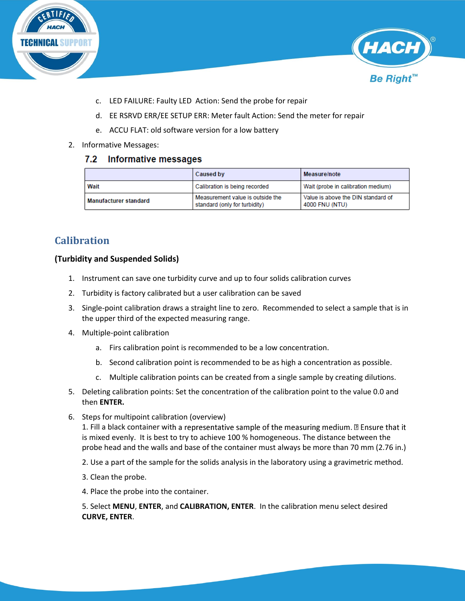



- c. LED FAILURE: Faulty LED Action: Send the probe for repair
- d. EE RSRVD ERR/EE SETUP ERR: Meter fault Action: Send the meter for repair
- e. ACCU FLAT: old software version for a low battery
- 2. Informative Messages:

#### $7.2$ **Informative messages**

|                              | <b>Caused by</b>                                                  | Measure/note                                         |
|------------------------------|-------------------------------------------------------------------|------------------------------------------------------|
| Wait                         | Calibration is being recorded                                     | Wait (probe in calibration medium)                   |
| <b>Manufacturer standard</b> | Measurement value is outside the<br>standard (only for turbidity) | Value is above the DIN standard of<br>4000 FNU (NTU) |

### <span id="page-13-0"></span>**Calibration**

#### **(Turbidity and Suspended Solids)**

- 1. Instrument can save one turbidity curve and up to four solids calibration curves
- 2. Turbidity is factory calibrated but a user calibration can be saved
- 3. Single-point calibration draws a straight line to zero. Recommended to select a sample that is in the upper third of the expected measuring range.
- 4. Multiple-point calibration
	- a. Firs calibration point is recommended to be a low concentration.
	- b. Second calibration point is recommended to be as high a concentration as possible.
	- c. Multiple calibration points can be created from a single sample by creating dilutions.
- 5. Deleting calibration points: Set the concentration of the calibration point to the value 0.0 and then **ENTER.**
- 6. Steps for multipoint calibration (overview)

1. Fill a black container with a representative sample of the measuring medium.  $\mathbb{D}$  Ensure that it is mixed evenly. It is best to try to achieve 100 % homogeneous. The distance between the probe head and the walls and base of the container must always be more than 70 mm (2.76 in.)

2. Use a part of the sample for the solids analysis in the laboratory using a gravimetric method.

- 3. Clean the probe.
- 4. Place the probe into the container.

5. Select **MENU**, **ENTER**, and **CALIBRATION, ENTER**. In the calibration menu select desired **CURVE, ENTER**.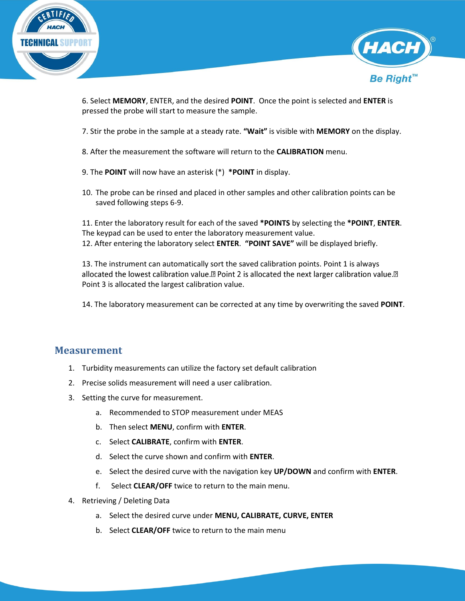



6. Select **MEMORY**, ENTER, and the desired **POINT**. Once the point is selected and **ENTER** is pressed the probe will start to measure the sample.

7. Stir the probe in the sample at a steady rate. **"Wait"** is visible with **MEMORY** on the display.

- 8. After the measurement the software will return to the **CALIBRATION** menu.
- 9. The **POINT** will now have an asterisk (\*) **\*POINT** in display.
- 10. The probe can be rinsed and placed in other samples and other calibration points can be saved following steps 6-9.

11. Enter the laboratory result for each of the saved **\*POINTS** by selecting the **\*POINT**, **ENTER**. The keypad can be used to enter the laboratory measurement value. 12. After entering the laboratory select **ENTER**. **"POINT SAVE"** will be displayed briefly.

13. The instrument can automatically sort the saved calibration points. Point 1 is always allocated the lowest calibration value.<sup>[2]</sup> Point 2 is allocated the next larger calibration value.<sup>[2]</sup> Point 3 is allocated the largest calibration value.

14. The laboratory measurement can be corrected at any time by overwriting the saved **POINT**.

### <span id="page-14-0"></span>**Measurement**

- 1. Turbidity measurements can utilize the factory set default calibration
- 2. Precise solids measurement will need a user calibration.
- 3. Setting the curve for measurement.
	- a. Recommended to STOP measurement under MEAS
	- b. Then select **MENU**, confirm with **ENTER**.
	- c. Select **CALIBRATE**, confirm with **ENTER**.
	- d. Select the curve shown and confirm with **ENTER**.
	- e. Select the desired curve with the navigation key **UP/DOWN** and confirm with **ENTER**.
	- f. Select **CLEAR/OFF** twice to return to the main menu.
- 4. Retrieving / Deleting Data
	- a. Select the desired curve under **MENU, CALIBRATE, CURVE, ENTER**
	- b. Select **CLEAR/OFF** twice to return to the main menu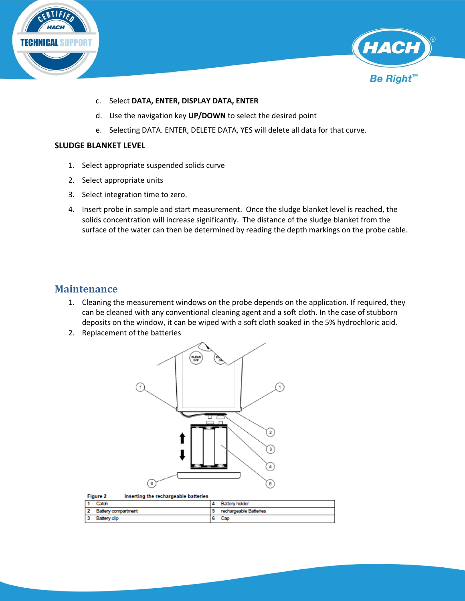



- c. Select **DATA, ENTER, DISPLAY DATA, ENTER**
- d. Use the navigation key **UP/DOWN** to select the desired point
- e. Selecting DATA. ENTER, DELETE DATA, YES will delete all data for that curve.

#### **SLUDGE BLANKET LEVEL**

- 1. Select appropriate suspended solids curve
- 2. Select appropriate units
- 3. Select integration time to zero.
- 4. Insert probe in sample and start measurement. Once the sludge blanket level is reached, the solids concentration will increase significantly. The distance of the sludge blanket from the surface of the water can then be determined by reading the depth markings on the probe cable.

### <span id="page-15-0"></span>**Maintenance**

- 1. Cleaning the measurement windows on the probe depends on the application. If required, they can be cleaned with any conventional cleaning agent and a soft cloth. In the case of stubborn deposits on the window, it can be wiped with a soft cloth soaked in the 5% hydrochloric acid.
- 2. Replacement of the batteries



| Inserting the rechargeable batteries<br><b>Figure 2</b> |                        |
|---------------------------------------------------------|------------------------|
| Catch                                                   | <b>Battery holder</b>  |
| <b>Battery compartment</b>                              | rechargeable Batteries |
| Battery dip                                             | Cap                    |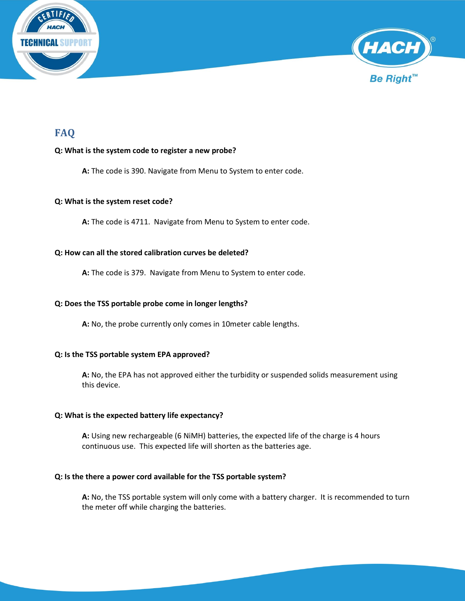



### <span id="page-16-0"></span>**FAQ**

#### **Q: What is the system code to register a new probe?**

**A:** The code is 390. Navigate from Menu to System to enter code.

#### **Q: What is the system reset code?**

**A:** The code is 4711. Navigate from Menu to System to enter code.

#### **Q: How can all the stored calibration curves be deleted?**

**A:** The code is 379. Navigate from Menu to System to enter code.

#### **Q: Does the TSS portable probe come in longer lengths?**

**A:** No, the probe currently only comes in 10meter cable lengths.

#### **Q: Is the TSS portable system EPA approved?**

**A:** No, the EPA has not approved either the turbidity or suspended solids measurement using this device.

#### **Q: What is the expected battery life expectancy?**

**A:** Using new rechargeable (6 NiMH) batteries, the expected life of the charge is 4 hours continuous use. This expected life will shorten as the batteries age.

#### **Q: Is the there a power cord available for the TSS portable system?**

**A:** No, the TSS portable system will only come with a battery charger. It is recommended to turn the meter off while charging the batteries.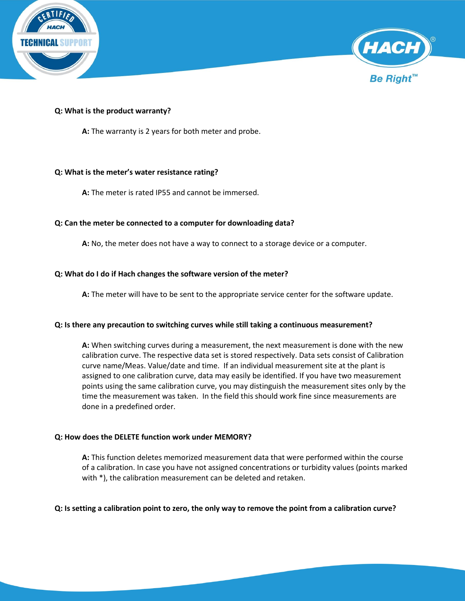



#### **Q: What is the product warranty?**

**A:** The warranty is 2 years for both meter and probe.

#### **Q: What is the meter's water resistance rating?**

**A:** The meter is rated IP55 and cannot be immersed.

#### **Q: Can the meter be connected to a computer for downloading data?**

**A:** No, the meter does not have a way to connect to a storage device or a computer.

#### **Q: What do I do if Hach changes the software version of the meter?**

**A:** The meter will have to be sent to the appropriate service center for the software update.

#### **Q: Is there any precaution to switching curves while still taking a continuous measurement?**

**A:** When switching curves during a measurement, the next measurement is done with the new calibration curve. The respective data set is stored respectively. Data sets consist of Calibration curve name/Meas. Value/date and time. If an individual measurement site at the plant is assigned to one calibration curve, data may easily be identified. If you have two measurement points using the same calibration curve, you may distinguish the measurement sites only by the time the measurement was taken. In the field this should work fine since measurements are done in a predefined order.

#### **Q: How does the DELETE function work under MEMORY?**

**A:** This function deletes memorized measurement data that were performed within the course of a calibration. In case you have not assigned concentrations or turbidity values (points marked with \*), the calibration measurement can be deleted and retaken.

#### **Q: Is setting a calibration point to zero, the only way to remove the point from a calibration curve?**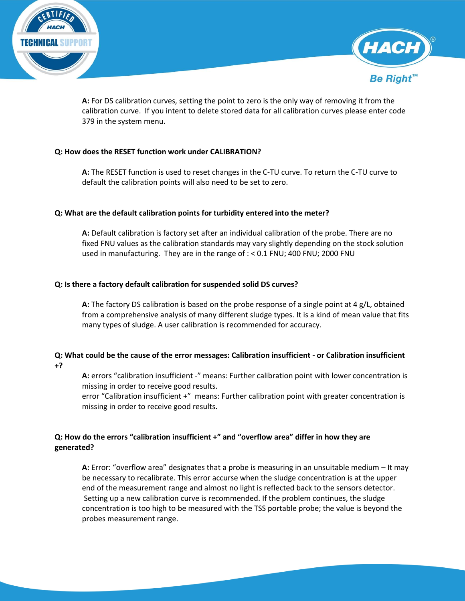



**A:** For DS calibration curves, setting the point to zero is the only way of removing it from the calibration curve. If you intent to delete stored data for all calibration curves please enter code 379 in the system menu.

#### **Q: How does the RESET function work under CALIBRATION?**

**A:** The RESET function is used to reset changes in the C-TU curve. To return the C-TU curve to default the calibration points will also need to be set to zero.

#### **Q: What are the default calibration points for turbidity entered into the meter?**

**A:** Default calibration is factory set after an individual calibration of the probe. There are no fixed FNU values as the calibration standards may vary slightly depending on the stock solution used in manufacturing. They are in the range of : < 0.1 FNU; 400 FNU; 2000 FNU

#### **Q: Is there a factory default calibration for suspended solid DS curves?**

**A:** The factory DS calibration is based on the probe response of a single point at 4 g/L, obtained from a comprehensive analysis of many different sludge types. It is a kind of mean value that fits many types of sludge. A user calibration is recommended for accuracy.

#### **Q: What could be the cause of the error messages: Calibration insufficient - or Calibration insufficient +?**

**A:** errors "calibration insufficient -" means: Further calibration point with lower concentration is missing in order to receive good results.

error "Calibration insufficient +" means: Further calibration point with greater concentration is missing in order to receive good results.

#### **Q: How do the errors "calibration insufficient +" and "overflow area" differ in how they are generated?**

**A:** Error: "overflow area" designates that a probe is measuring in an unsuitable medium – It may be necessary to recalibrate. This error accurse when the sludge concentration is at the upper end of the measurement range and almost no light is reflected back to the sensors detector. Setting up a new calibration curve is recommended. If the problem continues, the sludge concentration is too high to be measured with the TSS portable probe; the value is beyond the probes measurement range.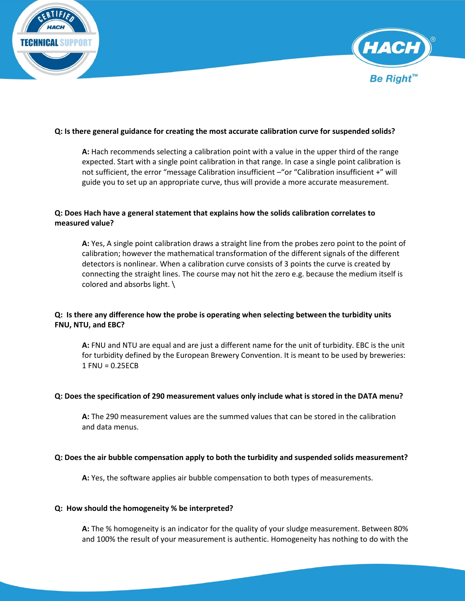



#### **Q: Is there general guidance for creating the most accurate calibration curve for suspended solids?**

**A:** Hach recommends selecting a calibration point with a value in the upper third of the range expected. Start with a single point calibration in that range. In case a single point calibration is not sufficient, the error "message Calibration insufficient –"or "Calibration insufficient +" will guide you to set up an appropriate curve, thus will provide a more accurate measurement.

#### **Q: Does Hach have a general statement that explains how the solids calibration correlates to measured value?**

**A:** Yes, A single point calibration draws a straight line from the probes zero point to the point of calibration; however the mathematical transformation of the different signals of the different detectors is nonlinear. When a calibration curve consists of 3 points the curve is created by connecting the straight lines. The course may not hit the zero e.g. because the medium itself is colored and absorbs light. \

#### **Q: Is there any difference how the probe is operating when selecting between the turbidity units FNU, NTU, and EBC?**

**A:** FNU and NTU are equal and are just a different name for the unit of turbidity. EBC is the unit for turbidity defined by the European Brewery Convention. It is meant to be used by breweries: 1 FNU = 0.25ECB

#### **Q: Does the specification of 290 measurement values only include what is stored in the DATA menu?**

**A:** The 290 measurement values are the summed values that can be stored in the calibration and data menus.

#### **Q: Does the air bubble compensation apply to both the turbidity and suspended solids measurement?**

**A:** Yes, the software applies air bubble compensation to both types of measurements.

#### **Q: How should the homogeneity % be interpreted?**

**A:** The % homogeneity is an indicator for the quality of your sludge measurement. Between 80% and 100% the result of your measurement is authentic. Homogeneity has nothing to do with the